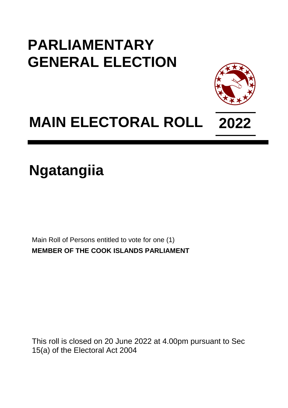## **PARLIAMENTARY GENERAL ELECTION**



## **MAIN ELECTORAL ROLL 2022**

**Ngatangiia**

Main Roll of Persons entitled to vote for one (1) **MEMBER OF THE COOK ISLANDS PARLIAMENT**

This roll is closed on 20 June 2022 at 4.00pm pursuant to Sec 15(a) of the Electoral Act 2004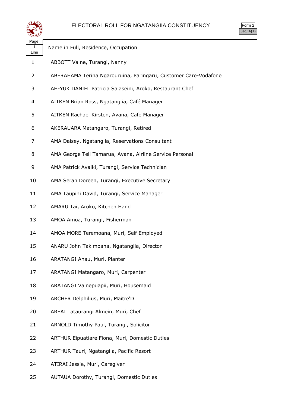

| Page<br>1<br>Line | Name in Full, Residence, Occupation                             |
|-------------------|-----------------------------------------------------------------|
| 1                 | ABBOTT Vaine, Turangi, Nanny                                    |
| 2                 | ABERAHAMA Terina Ngarouruina, Paringaru, Customer Care-Vodafone |
| 3                 | AH-YUK DANIEL Patricia Salaseini, Aroko, Restaurant Chef        |
| 4                 | AITKEN Brian Ross, Ngatangiia, Café Manager                     |
| 5                 | AITKEN Rachael Kirsten, Avana, Cafe Manager                     |
| 6                 | AKERAUARA Matangaro, Turangi, Retired                           |
| 7                 | AMA Daisey, Ngatangiia, Reservations Consultant                 |
| 8                 | AMA George Teli Tamarua, Avana, Airline Service Personal        |
| 9                 | AMA Patrick Avaiki, Turangi, Service Technician                 |
| 10                | AMA Serah Doreen, Turangi, Executive Secretary                  |
| 11                | AMA Taupini David, Turangi, Service Manager                     |
| 12                | AMARU Tai, Aroko, Kitchen Hand                                  |
| 13                | AMOA Amoa, Turangi, Fisherman                                   |
| 14                | AMOA MORE Teremoana, Muri, Self Employed                        |
| 15                | ANARU John Takimoana, Ngatangiia, Director                      |
| 16                | ARATANGI Anau, Muri, Planter                                    |
| 17                | ARATANGI Matangaro, Muri, Carpenter                             |
| 18                | ARATANGI Vainepuapii, Muri, Housemaid                           |
| 19                | ARCHER Delphilius, Muri, Maitre'D                               |
| 20                | AREAI Tataurangi Almein, Muri, Chef                             |
| 21                | ARNOLD Timothy Paul, Turangi, Solicitor                         |
| 22                | <b>ARTHUR Eipuatiare Fiona, Muri, Domestic Duties</b>           |
| 23                | ARTHUR Tauri, Ngatangiia, Pacific Resort                        |
| 24                | ATIRAI Jessie, Muri, Caregiver                                  |

AUTAUA Dorothy, Turangi, Domestic Duties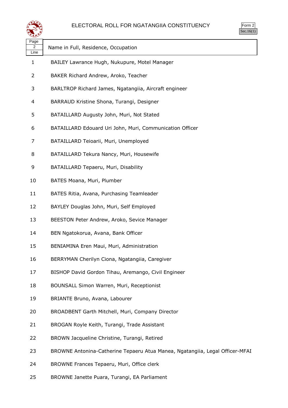

| Page<br>2<br>Line | Name in Full, Residence, Occupation                                          |
|-------------------|------------------------------------------------------------------------------|
| 1                 | BAILEY Lawrance Hugh, Nukupure, Motel Manager                                |
| 2                 | BAKER Richard Andrew, Aroko, Teacher                                         |
| 3                 | BARLTROP Richard James, Ngatangiia, Aircraft engineer                        |
| 4                 | BARRAUD Kristine Shona, Turangi, Designer                                    |
| 5                 | BATAILLARD Augusty John, Muri, Not Stated                                    |
| 6                 | BATAILLARD Edouard Uri John, Muri, Communication Officer                     |
| 7                 | BATAILLARD Teioarii, Muri, Unemployed                                        |
| 8                 | BATAILLARD Tekura Nancy, Muri, Housewife                                     |
| 9                 | BATAILLARD Tepaeru, Muri, Disability                                         |
| 10                | BATES Moana, Muri, Plumber                                                   |
| 11                | BATES Ritia, Avana, Purchasing Teamleader                                    |
| 12                | BAYLEY Douglas John, Muri, Self Employed                                     |
| 13                | BEESTON Peter Andrew, Aroko, Sevice Manager                                  |
| 14                | BEN Ngatokorua, Avana, Bank Officer                                          |
| 15                | BENIAMINA Eren Maui, Muri, Administration                                    |
| 16                | BERRYMAN Cherilyn Ciona, Ngatangiia, Caregiver                               |
| 17                | BISHOP David Gordon Tihau, Aremango, Civil Engineer                          |
| 18                | BOUNSALL Simon Warren, Muri, Receptionist                                    |
| 19                | BRIANTE Bruno, Avana, Labourer                                               |
| 20                | BROADBENT Garth Mitchell, Muri, Company Director                             |
| 21                | BROGAN Royle Keith, Turangi, Trade Assistant                                 |
| 22                | BROWN Jacqueline Christine, Turangi, Retired                                 |
| 23                | BROWNE Antonina-Catherine Tepaeru Atua Manea, Ngatangiia, Legal Officer-MFAI |
| 24                | BROWNE Frances Tepaeru, Muri, Office clerk                                   |
|                   |                                                                              |

BROWNE Janette Puara, Turangi, EA Parliament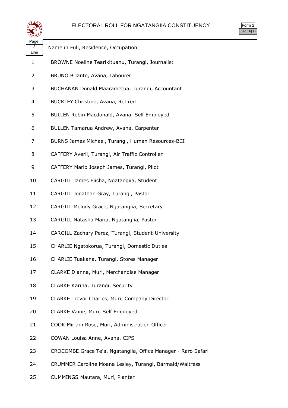

| Page<br>3<br>Line | Name in Full, Residence, Occupation                           |
|-------------------|---------------------------------------------------------------|
| $\mathbf{1}$      | BROWNE Noeline Tearikituanu, Turangi, Journalist              |
| 2                 | BRUNO Briante, Avana, Labourer                                |
| 3                 | BUCHANAN Donald Maarametua, Turangi, Accountant               |
| 4                 | BUCKLEY Christine, Avana, Retired                             |
| 5                 | BULLEN Robin Macdonald, Avana, Self Employed                  |
| 6                 | BULLEN Tamarua Andrew, Avana, Carpenter                       |
| 7                 | BURNS James Michael, Turangi, Human Resources-BCI             |
| 8                 | CAFFERY Averil, Turangi, Air Traffic Controller               |
| 9                 | CAFFERY Mario Joseph James, Turangi, Pilot                    |
| 10                | CARGILL James Elisha, Ngatangiia, Student                     |
| 11                | CARGILL Jonathan Gray, Turangi, Pastor                        |
| 12                | CARGILL Melody Grace, Ngatangiia, Secretary                   |
| 13                | CARGILL Natasha Maria, Ngatangiia, Pastor                     |
| 14                | CARGILL Zachary Perez, Turangi, Student-University            |
| 15                | CHARLIE Ngatokorua, Turangi, Domestic Duties                  |
| 16                | CHARLIE Tuakana, Turangi, Stores Manager                      |
| 17                | CLARKE Dianna, Muri, Merchandise Manager                      |
| 18                | CLARKE Karina, Turangi, Security                              |
| 19                | CLARKE Trevor Charles, Muri, Company Director                 |
| 20                | CLARKE Vaine, Muri, Self Employed                             |
| 21                | COOK Miriam Rose, Muri, Administration Officer                |
| 22                | COWAN Louisa Anne, Avana, CIPS                                |
| 23                | CROCOMBE Grace Te'a, Ngatangiia, Office Manager - Raro Safari |
| 24                | CRUMMER Caroline Moana Lesley, Turangi, Barmaid/Waitress      |

CUMMINGS Mautara, Muri, Planter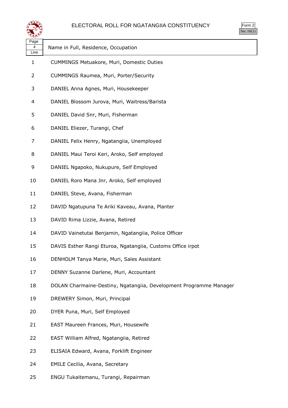



| تشويدهم           |                                                                    |  |
|-------------------|--------------------------------------------------------------------|--|
| Page<br>4<br>Line | Name in Full, Residence, Occupation                                |  |
| 1                 | CUMMINGS Metuakore, Muri, Domestic Duties                          |  |
| 2                 | CUMMINGS Raumea, Muri, Porter/Security                             |  |
| 3                 | DANIEL Anna Agnes, Muri, Housekeeper                               |  |
| 4                 | DANIEL Blossom Jurova, Muri, Waitress/Barista                      |  |
| 5                 | DANIEL David Snr, Muri, Fisherman                                  |  |
| 6                 | DANIEL Eliezer, Turangi, Chef                                      |  |
| 7                 | DANIEL Felix Henry, Ngatangiia, Unemployed                         |  |
| 8                 | DANIEL Maui Teroi Keri, Aroko, Self employed                       |  |
| 9                 | DANIEL Ngapoko, Nukupure, Self Employed                            |  |
| 10                | DANIEL Roro Mana Jnr, Aroko, Self employed                         |  |
| 11                | DANIEL Steve, Avana, Fisherman                                     |  |
| 12                | DAVID Ngatupuna Te Ariki Kaveau, Avana, Planter                    |  |
| 13                | DAVID Rima Lizzie, Avana, Retired                                  |  |
| 14                | DAVID Vainetutai Benjamin, Ngatangiia, Police Officer              |  |
| 15                | DAVIS Esther Rangi Eturoa, Ngatangiia, Customs Office irpot        |  |
| 16                | DENHOLM Tanya Marie, Muri, Sales Assistant                         |  |
| 17                | DENNY Suzanne Darlene, Muri, Accountant                            |  |
| 18                | DOLAN Charmaine-Destiny, Ngatangiia, Development Programme Manager |  |
| 19                | DREWERY Simon, Muri, Principal                                     |  |
| 20                | DYER Puna, Muri, Self Employed                                     |  |
| 21                | EAST Maureen Frances, Muri, Housewife                              |  |
| 22                | EAST William Alfred, Ngatangiia, Retired                           |  |
| 23                | ELISAIA Edward, Avana, Forklift Engineer                           |  |
| 24                | <b>EMILE Cecilia, Avana, Secretary</b>                             |  |
| 25                | ENGU Tukaitemanu, Turangi, Repairman                               |  |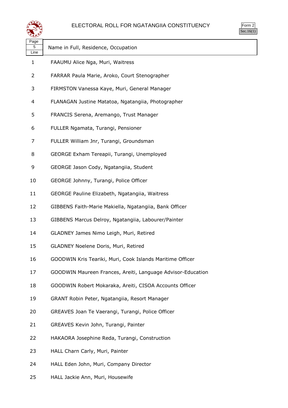

| orm<br>٠ |  |
|----------|--|
| . .      |  |

| Page<br>5<br>Line | Name in Full, Residence, Occupation                         |
|-------------------|-------------------------------------------------------------|
| 1                 | FAAUMU Alice Nga, Muri, Waitress                            |
| 2                 | FARRAR Paula Marie, Aroko, Court Stenographer               |
| 3                 | FIRMSTON Vanessa Kaye, Muri, General Manager                |
| 4                 | FLANAGAN Justine Matatoa, Ngatangiia, Photographer          |
| 5                 | FRANCIS Serena, Aremango, Trust Manager                     |
| 6                 | FULLER Ngamata, Turangi, Pensioner                          |
| 7                 | FULLER William Jnr, Turangi, Groundsman                     |
| 8                 | GEORGE Exham Tereapii, Turangi, Unemployed                  |
| 9                 | GEORGE Jason Cody, Ngatangiia, Student                      |
| 10                | GEORGE Johnny, Turangi, Police Officer                      |
| 11                | GEORGE Pauline Elizabeth, Ngatangiia, Waitress              |
| 12                | GIBBENS Faith-Marie Makiella, Ngatangiia, Bank Officer      |
| 13                | GIBBENS Marcus Delroy, Ngatangiia, Labourer/Painter         |
| 14                | GLADNEY James Nimo Leigh, Muri, Retired                     |
| 15                | GLADNEY Noelene Doris, Muri, Retired                        |
| 16                | GOODWIN Kris Teariki, Muri, Cook Islands Maritime Officer   |
| 17                | GOODWIN Maureen Frances, Areiti, Language Advisor-Education |
| 18                | GOODWIN Robert Mokaraka, Areiti, CISOA Accounts Officer     |
| 19                | GRANT Robin Peter, Ngatangiia, Resort Manager               |
| 20                | GREAVES Joan Te Vaerangi, Turangi, Police Officer           |
| 21                | GREAVES Kevin John, Turangi, Painter                        |
| 22                | HAKAORA Josephine Reda, Turangi, Construction               |
| 23                | HALL Charn Carly, Muri, Painter                             |
| 24                | HALL Eden John, Muri, Company Director                      |

HALL Jackie Ann, Muri, Housewife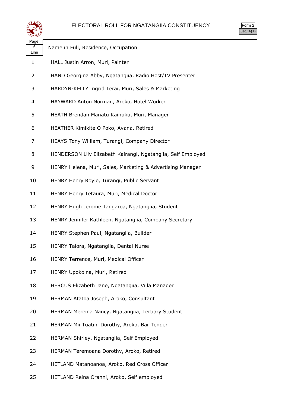

| Page<br>6<br>Line | Name in Full, Residence, Occupation                          |
|-------------------|--------------------------------------------------------------|
| 1                 | HALL Justin Arron, Muri, Painter                             |
| 2                 | HAND Georgina Abby, Ngatangiia, Radio Host/TV Presenter      |
| 3                 | HARDYN-KELLY Ingrid Terai, Muri, Sales & Marketing           |
| 4                 | HAYWARD Anton Norman, Aroko, Hotel Worker                    |
| 5                 | HEATH Brendan Manatu Kainuku, Muri, Manager                  |
| 6                 | HEATHER Kimikite O Poko, Avana, Retired                      |
| 7                 | HEAYS Tony William, Turangi, Company Director                |
| 8                 | HENDERSON Lily Elizabeth Kairangi, Ngatangiia, Self Employed |
| 9                 | HENRY Helena, Muri, Sales, Marketing & Advertising Manager   |
| 10                | HENRY Henry Royle, Turangi, Public Servant                   |
| 11                | HENRY Henry Tetaura, Muri, Medical Doctor                    |
| 12                | HENRY Hugh Jerome Tangaroa, Ngatangiia, Student              |
| 13                | HENRY Jennifer Kathleen, Ngatangiia, Company Secretary       |
| 14                | HENRY Stephen Paul, Ngatangiia, Builder                      |
| 15                | HENRY Taiora, Ngatangiia, Dental Nurse                       |
| 16                | HENRY Terrence, Muri, Medical Officer                        |
| 17                | HENRY Upokoina, Muri, Retired                                |
| 18                | HERCUS Elizabeth Jane, Ngatangiia, Villa Manager             |
| 19                | HERMAN Atatoa Joseph, Aroko, Consultant                      |
| 20                | HERMAN Mereina Nancy, Ngatangiia, Tertiary Student           |
| 21                | HERMAN Mii Tuatini Dorothy, Aroko, Bar Tender                |
| 22                | HERMAN Shirley, Ngatangiia, Self Employed                    |
| 23                | HERMAN Teremoana Dorothy, Aroko, Retired                     |
| 24                | HETLAND Matanoanoa, Aroko, Red Cross Officer                 |
| 25                | HETLAND Reina Oranni, Aroko, Self employed                   |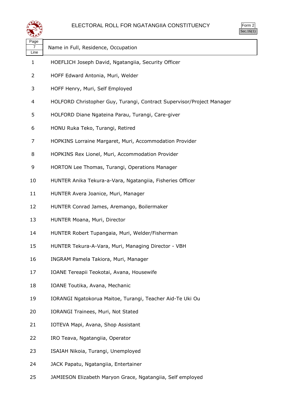

| لتستعيثه                       |                                                                       |
|--------------------------------|-----------------------------------------------------------------------|
| Page<br>$\overline{7}$<br>Line | Name in Full, Residence, Occupation                                   |
| $\mathbf{1}$                   | HOEFLICH Joseph David, Ngatangiia, Security Officer                   |
| 2                              | HOFF Edward Antonia, Muri, Welder                                     |
| 3                              | HOFF Henry, Muri, Self Employed                                       |
| 4                              | HOLFORD Christopher Guy, Turangi, Contract Supervisor/Project Manager |
| 5                              | HOLFORD Diane Ngateina Parau, Turangi, Care-giver                     |
| 6                              | HONU Ruka Teko, Turangi, Retired                                      |
| 7                              | HOPKINS Lorraine Margaret, Muri, Accommodation Provider               |
| 8                              | HOPKINS Rex Lionel, Muri, Accommodation Provider                      |
| 9                              | HORTON Lee Thomas, Turangi, Operations Manager                        |
| 10                             | HUNTER Anika Tekura-a-Vara, Ngatangiia, Fisheries Officer             |
| 11                             | HUNTER Avera Joanice, Muri, Manager                                   |
| 12                             | HUNTER Conrad James, Aremango, Boilermaker                            |
| 13                             | HUNTER Moana, Muri, Director                                          |
| 14                             | HUNTER Robert Tupangaia, Muri, Welder/Fisherman                       |
| 15                             | HUNTER Tekura-A-Vara, Muri, Managing Director - VBH                   |
| 16                             | INGRAM Pamela Takiora, Muri, Manager                                  |
| 17                             | IOANE Tereapii Teokotai, Avana, Housewife                             |
| 18                             | IOANE Toutika, Avana, Mechanic                                        |
| 19                             | IORANGI Ngatokorua Maitoe, Turangi, Teacher Aid-Te Uki Ou             |
| 20                             | <b>IORANGI Trainees, Muri, Not Stated</b>                             |
| 21                             | IOTEVA Mapi, Avana, Shop Assistant                                    |
| 22                             | IRO Teava, Ngatangiia, Operator                                       |
| 23                             | ISAIAH Nikoia, Turangi, Unemployed                                    |
| 24                             | JACK Papatu, Ngatangiia, Entertainer                                  |

JAMIESON Elizabeth Maryon Grace, Ngatangiia, Self employed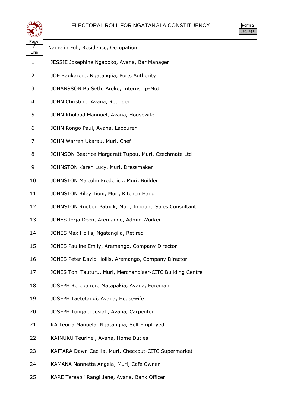

| $\mathsf{m}$ |  |
|--------------|--|
| v.           |  |

| Page<br>8<br>Line | Name in Full, Residence, Occupation                         |
|-------------------|-------------------------------------------------------------|
| 1                 | JESSIE Josephine Ngapoko, Avana, Bar Manager                |
| 2                 | JOE Raukarere, Ngatangiia, Ports Authority                  |
| 3                 | JOHANSSON Bo Seth, Aroko, Internship-MoJ                    |
| 4                 | JOHN Christine, Avana, Rounder                              |
| 5                 | JOHN Kholood Mannuel, Avana, Housewife                      |
| 6                 | JOHN Rongo Paul, Avana, Labourer                            |
| 7                 | JOHN Warren Ukarau, Muri, Chef                              |
| 8                 | JOHNSON Beatrice Margarett Tupou, Muri, Czechmate Ltd       |
| 9                 | JOHNSTON Karen Lucy, Muri, Dressmaker                       |
| 10                | JOHNSTON Malcolm Frederick, Muri, Builder                   |
| 11                | JOHNSTON Riley Tioni, Muri, Kitchen Hand                    |
| 12                | JOHNSTON Rueben Patrick, Muri, Inbound Sales Consultant     |
| 13                | JONES Jorja Deen, Aremango, Admin Worker                    |
| 14                | JONES Max Hollis, Ngatangiia, Retired                       |
| 15                | JONES Pauline Emily, Aremango, Company Director             |
| 16                | JONES Peter David Hollis, Aremango, Company Director        |
| 17                | JONES Toni Tauturu, Muri, Merchandiser-CITC Building Centre |
| 18                | JOSEPH Rerepairere Matapakia, Avana, Foreman                |
| 19                | JOSEPH Taetetangi, Avana, Housewife                         |
| 20                | JOSEPH Tongaiti Josiah, Avana, Carpenter                    |
| 21                | KA Teuira Manuela, Ngatangiia, Self Employed                |
| 22                | KAINUKU Teurihei, Avana, Home Duties                        |
| 23                | KAITARA Dawn Cecilia, Muri, Checkout-CITC Supermarket       |
| 24                | KAMANA Nannette Angela, Muri, Café Owner                    |
| 25                | KARE Tereapii Rangi Jane, Avana, Bank Officer               |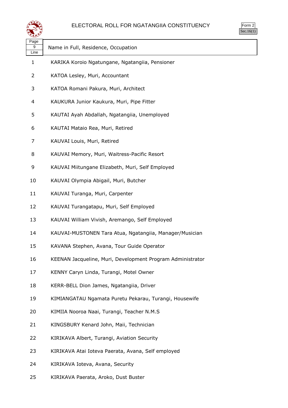

| Page<br>9<br>Line | Name in Full, Residence, Occupation                        |
|-------------------|------------------------------------------------------------|
| $\mathbf{1}$      | KARIKA Koroio Ngatungane, Ngatangiia, Pensioner            |
| 2                 | KATOA Lesley, Muri, Accountant                             |
| 3                 | KATOA Romani Pakura, Muri, Architect                       |
| 4                 | KAUKURA Junior Kaukura, Muri, Pipe Fitter                  |
| 5                 | KAUTAI Ayah Abdallah, Ngatangiia, Unemployed               |
| 6                 | KAUTAI Mataio Rea, Muri, Retired                           |
| 7                 | KAUVAI Louis, Muri, Retired                                |
| 8                 | KAUVAI Memory, Muri, Waitress-Pacific Resort               |
| 9                 | KAUVAI Miitungane Elizabeth, Muri, Self Employed           |
| 10                | KAUVAI Olympia Abigail, Muri, Butcher                      |
| 11                | KAUVAI Turanga, Muri, Carpenter                            |
| 12                | KAUVAI Turangatapu, Muri, Self Employed                    |
| 13                | KAUVAI William Vivish, Aremango, Self Employed             |
| 14                | KAUVAI-MUSTONEN Tara Atua, Ngatangiia, Manager/Musician    |
| 15                | KAVANA Stephen, Avana, Tour Guide Operator                 |
| 16                | KEENAN Jacqueline, Muri, Development Program Administrator |
| 17                | KENNY Caryn Linda, Turangi, Motel Owner                    |
| 18                | KERR-BELL Dion James, Ngatangiia, Driver                   |
| 19                | KIMIANGATAU Ngamata Puretu Pekarau, Turangi, Housewife     |
| 20                | KIMIIA Nooroa Naai, Turangi, Teacher N.M.S                 |
| 21                | KINGSBURY Kenard John, Maii, Technician                    |
| 22                | KIRIKAVA Albert, Turangi, Aviation Security                |
| 23                | KIRIKAVA Atai Ioteva Paerata, Avana, Self employed         |
| 24                | KIRIKAVA Ioteva, Avana, Security                           |
|                   |                                                            |

KIRIKAVA Paerata, Aroko, Dust Buster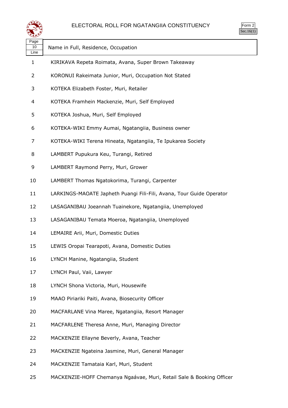

| Page<br>10<br>Line | Name in Full, Residence, Occupation                                  |
|--------------------|----------------------------------------------------------------------|
| 1                  | KIRIKAVA Repeta Roimata, Avana, Super Brown Takeaway                 |
| 2                  | KORONUI Rakeimata Junior, Muri, Occupation Not Stated                |
| 3                  | KOTEKA Elizabeth Foster, Muri, Retailer                              |
| 4                  | KOTEKA Framhein Mackenzie, Muri, Self Employed                       |
| 5                  | KOTEKA Joshua, Muri, Self Employed                                   |
| 6                  | KOTEKA-WIKI Emmy Aumai, Ngatangiia, Business owner                   |
| 7                  | KOTEKA-WIKI Terena Hineata, Ngatangiia, Te Ipukarea Society          |
| 8                  | LAMBERT Pupukura Keu, Turangi, Retired                               |
| 9                  | LAMBERT Raymond Perry, Muri, Grower                                  |
| 10                 | LAMBERT Thomas Ngatokorima, Turangi, Carpenter                       |
| 11                 | LARKINGS-MAOATE Japheth Puangi Fili-Fili, Avana, Tour Guide Operator |
| 12                 | LASAGANIBAU Joeannah Tuainekore, Ngatangiia, Unemployed              |
| 13                 | LASAGANIBAU Temata Moeroa, Ngatangiia, Unemployed                    |
| 14                 | LEMAIRE Arii, Muri, Domestic Duties                                  |
| 15                 | LEWIS Oropai Tearapoti, Avana, Domestic Duties                       |
| 16                 | LYNCH Manine, Ngatangiia, Student                                    |
| 17                 | LYNCH Paul, Vaii, Lawyer                                             |
| 18                 | LYNCH Shona Victoria, Muri, Housewife                                |
| 19                 | MAAO Piriariki Paiti, Avana, Biosecurity Officer                     |
| 20                 | MACFARLANE Vina Maree, Ngatangiia, Resort Manager                    |
| 21                 | MACFARLENE Theresa Anne, Muri, Managing Director                     |
| 22                 | MACKENZIE Ellayne Beverly, Avana, Teacher                            |
| 23                 | MACKENZIE Ngateina Jasmine, Muri, General Manager                    |
| 24                 | MACKENZIE Tamataia Karl, Muri, Student                               |
| 25                 | MACKENZIE-HOFF Chemanya Ngaávae, Muri, Retail Sale & Booking Officer |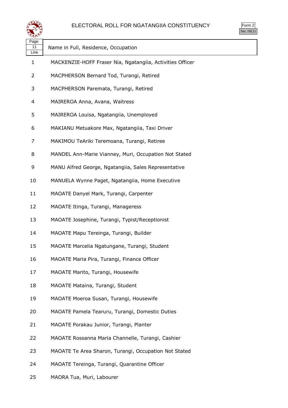

Form 2  $\overline{\text{Sec.16}(1)}$ 

| Page<br>11<br>Line | Name in Full, Residence, Occupation                       |
|--------------------|-----------------------------------------------------------|
| 1                  | MACKENZIE-HOFF Fraser Nia, Ngatangiia, Activities Officer |
| 2                  | MACPHERSON Bernard Tod, Turangi, Retired                  |
| 3                  | MACPHERSON Paremata, Turangi, Retired                     |
| 4                  | MAIREROA Anna, Avana, Waitress                            |
| 5                  | MAIREROA Louisa, Ngatangiia, Unemployed                   |
| 6                  | MAKIANU Metuakore Max, Ngatangiia, Taxi Driver            |
| 7                  | MAKIMOU TeAriki Teremoana, Turangi, Retiree               |
| 8                  | MANDEL Ann-Marie Vianney, Muri, Occupation Not Stated     |
| 9                  | MANU Alfred George, Ngatangiia, Sales Representative      |
| 10                 | MANUELA Wynne Paget, Ngatangiia, Home Executive           |
| 11                 | MAOATE Danyel Mark, Turangi, Carpenter                    |
| 12                 | MAOATE Itinga, Turangi, Manageress                        |
| 13                 | MAOATE Josephine, Turangi, Typist/Receptionist            |
| 14                 | MAOATE Mapu Tereinga, Turangi, Builder                    |
| 15                 | MAOATE Marcelia Ngatungane, Turangi, Student              |
| 16                 | MAOATE Maria Pira, Turangi, Finance Officer               |
| 17                 | MAOATE Marito, Turangi, Housewife                         |
| 18                 | MAOATE Mataina, Turangi, Student                          |
| 19                 | MAOATE Moeroa Susan, Turangi, Housewife                   |
| 20                 | MAOATE Pamela Tearuru, Turangi, Domestic Duties           |
| 21                 | MAOATE Porakau Junior, Turangi, Planter                   |
| 22                 | MAOATE Rossanna Maria Channelle, Turangi, Cashier         |
| 23                 | MAOATE Te Area Sharon, Turangi, Occupation Not Stated     |
| 24                 | MAOATE Tereinga, Turangi, Quarantine Officer              |

MAORA Tua, Muri, Labourer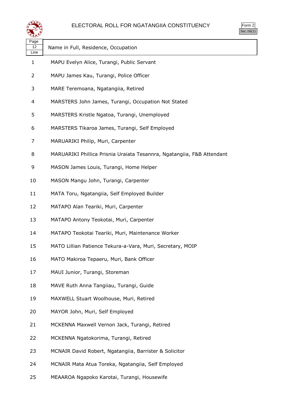

| orm<br>╯ |
|----------|
|          |

| Name in Full, Residence, Occupation                                    |
|------------------------------------------------------------------------|
|                                                                        |
| MAPU Evelyn Alice, Turangi, Public Servant                             |
| MAPU James Kau, Turangi, Police Officer                                |
| MARE Teremoana, Ngatangiia, Retired                                    |
| MARSTERS John James, Turangi, Occupation Not Stated                    |
| MARSTERS Kristle Ngatoa, Turangi, Unemployed                           |
| MARSTERS Tikaroa James, Turangi, Self Employed                         |
| MARUARIKI Philip, Muri, Carpenter                                      |
| MARUARIKI Phillica Prisnia Uraiata Tesannra, Ngatangiia, F&B Attendant |
| MASON James Louis, Turangi, Home Helper                                |
| MASON Mangu John, Turangi, Carpenter                                   |
| MATA Toru, Ngatangiia, Self Employed Builder                           |
| MATAPO Alan Teariki, Muri, Carpenter                                   |
| MATAPO Antony Teokotai, Muri, Carpenter                                |
| MATAPO Teokotai Teariki, Muri, Maintenance Worker                      |
| MATO Lillian Patience Tekura-a-Vara, Muri, Secretary, MOIP             |
| MATO Makiroa Tepaeru, Muri, Bank Officer                               |
| MAUI Junior, Turangi, Storeman                                         |
| MAVE Ruth Anna Tangiiau, Turangi, Guide                                |
| MAXWELL Stuart Woolhouse, Muri, Retired                                |
| MAYOR John, Muri, Self Employed                                        |
| MCKENNA Maxwell Vernon Jack, Turangi, Retired                          |
| MCKENNA Ngatokorima, Turangi, Retired                                  |
| MCNAIR David Robert, Ngatangiia, Barrister & Solicitor                 |
| MCNAIR Mata Atua Toreka, Ngatangiia, Self Employed                     |
|                                                                        |

MEAAROA Ngapoko Karotai, Turangi, Housewife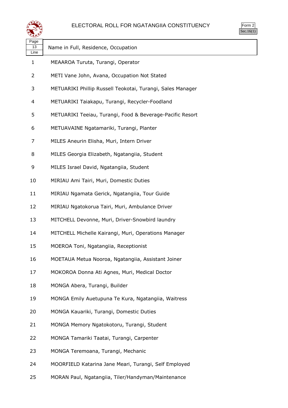

| $\mathsf{m}$ |  |
|--------------|--|
| v.           |  |

| Page<br>13<br>Line | Name in Full, Residence, Occupation                        |
|--------------------|------------------------------------------------------------|
| $\mathbf{1}$       | MEAAROA Turuta, Turangi, Operator                          |
| 2                  | METI Vane John, Avana, Occupation Not Stated               |
| 3                  | METUARIKI Phillip Russell Teokotai, Turangi, Sales Manager |
| 4                  | METUARIKI Taiakapu, Turangi, Recycler-Foodland             |
| 5                  | METUARIKI Teeiau, Turangi, Food & Beverage-Pacific Resort  |
| 6                  | METUAVAINE Ngatamariki, Turangi, Planter                   |
| 7                  | MILES Aneurin Elisha, Muri, Intern Driver                  |
| 8                  | MILES Georgia Elizabeth, Ngatangiia, Student               |
| 9                  | MILES Israel David, Ngatangiia, Student                    |
| 10                 | MIRIAU Ami Tairi, Muri, Domestic Duties                    |
| 11                 | MIRIAU Ngamata Gerick, Ngatangiia, Tour Guide              |
| 12                 | MIRIAU Ngatokorua Tairi, Muri, Ambulance Driver            |
| 13                 | MITCHELL Devonne, Muri, Driver-Snowbird laundry            |
| 14                 | MITCHELL Michelle Kairangi, Muri, Operations Manager       |
| 15                 | MOEROA Toni, Ngatangiia, Receptionist                      |
| 16                 | MOETAUA Metua Nooroa, Ngatangiia, Assistant Joiner         |
| 17                 | MOKOROA Donna Ati Agnes, Muri, Medical Doctor              |
| 18                 | MONGA Abera, Turangi, Builder                              |
| 19                 | MONGA Emily Auetupuna Te Kura, Ngatangiia, Waitress        |
| 20                 | MONGA Kauariki, Turangi, Domestic Duties                   |
| 21                 | MONGA Memory Ngatokotoru, Turangi, Student                 |
| 22                 | MONGA Tamariki Taatai, Turangi, Carpenter                  |
| 23                 | MONGA Teremoana, Turangi, Mechanic                         |
| 24                 | MOORFIELD Katarina Jane Meari, Turangi, Self Employed      |

MORAN Paul, Ngatangiia, Tiler/Handyman/Maintenance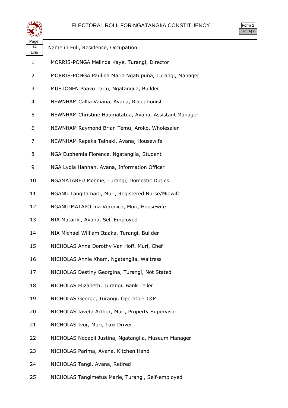

| Page<br>14<br>Line | Name in Full, Residence, Occupation                    |
|--------------------|--------------------------------------------------------|
| 1                  | MORRIS-PONGA Melinda Kaye, Turangi, Director           |
| 2                  | MORRIS-PONGA Paulina Maria Ngatupuna, Turangi, Manager |
| 3                  | MUSTONEN Paavo Tariu, Ngatangiia, Builder              |
| 4                  | NEWNHAM Callia Vaiana, Avana, Receptionist             |
| 5                  | NEWNHAM Christine Haumatatua, Avana, Assistant Manager |
| 6                  | NEWNHAM Raymond Brian Temu, Aroko, Wholesaler          |
| 7                  | NEWNHAM Repeka Teinaki, Avana, Housewife               |
| 8                  | NGA Euphemia Florence, Ngatangiia, Student             |
| 9                  | NGA Lydia Hannah, Avana, Information Officer           |
| 10                 | NGAMATAREU Mennie, Turangi, Domestic Duties            |
| 11                 | NGANU Tangitamaiti, Muri, Registered Nurse/Midwife     |
| 12                 | NGANU-MATAPO Ina Veronica, Muri, Housewife             |
| 13                 | NIA Matariki, Avana, Self Employed                     |
| 14                 | NIA Michael William Itaaka, Turangi, Builder           |
| 15                 | NICHOLAS Anna Dorothy Van Hoff, Muri, Chef             |
| 16                 | NICHOLAS Annie Xham, Ngatangiia, Waitress              |
| 17                 | NICHOLAS Destiny Georgina, Turangi, Not Stated         |
| 18                 | NICHOLAS Elizabeth, Turangi, Bank Teller               |
| 19                 | NICHOLAS George, Turangi, Operator- T&M                |
| 20                 | NICHOLAS Iaveta Arthur, Muri, Property Supervisor      |
| 21                 | NICHOLAS Ivor, Muri, Taxi Driver                       |
| 22                 | NICHOLAS Nooapii Justina, Ngatangiia, Museum Manager   |
| 23                 | NICHOLAS Parima, Avana, Kitchen Hand                   |
| 24                 | NICHOLAS Tangi, Avana, Retired                         |
| 25                 | NICHOLAS Tangimetua Marie, Turangi, Self-employed      |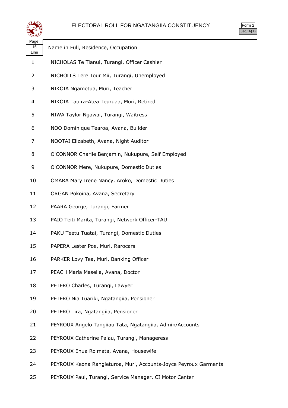

| orm<br>╭ |
|----------|
| ` 1      |

| Page<br>15 | Name in Full, Residence, Occupation                              |
|------------|------------------------------------------------------------------|
| Line<br>1  | NICHOLAS Te Tianui, Turangi, Officer Cashier                     |
| 2          | NICHOLLS Tere Tour Mii, Turangi, Unemployed                      |
| 3          | NIKOIA Ngametua, Muri, Teacher                                   |
| 4          | NIKOIA Tauira-Atea Teuruaa, Muri, Retired                        |
| 5          | NIWA Taylor Ngawai, Turangi, Waitress                            |
| 6          | NOO Dominique Tearoa, Avana, Builder                             |
| 7          | NOOTAI Elizabeth, Avana, Night Auditor                           |
| 8          | O'CONNOR Charlie Benjamin, Nukupure, Self Employed               |
| 9          | O'CONNOR Mere, Nukupure, Domestic Duties                         |
| 10         | OMARA Mary Irene Nancy, Aroko, Domestic Duties                   |
| 11         | ORGAN Pokoina, Avana, Secretary                                  |
| 12         | PAARA George, Turangi, Farmer                                    |
| 13         | PAIO Teiti Marita, Turangi, Network Officer-TAU                  |
| 14         | PAKU Teetu Tuatai, Turangi, Domestic Duties                      |
| 15         | PAPERA Lester Poe, Muri, Rarocars                                |
| 16         | PARKER Lovy Tea, Muri, Banking Officer                           |
| 17         | PEACH Maria Masella, Avana, Doctor                               |
| 18         | PETERO Charles, Turangi, Lawyer                                  |
| 19         |                                                                  |
|            | PETERO Nia Tuariki, Ngatangiia, Pensioner                        |
| 20         | PETERO Tira, Ngatangiia, Pensioner                               |
| 21         | PEYROUX Angelo Tangiiau Tata, Ngatangiia, Admin/Accounts         |
| 22         | PEYROUX Catherine Paiau, Turangi, Manageress                     |
| 23         | PEYROUX Enua Roimata, Avana, Housewife                           |
| 24         | PEYROUX Keona Rangieturoa, Muri, Accounts-Joyce Peyroux Garments |

PEYROUX Paul, Turangi, Service Manager, CI Motor Center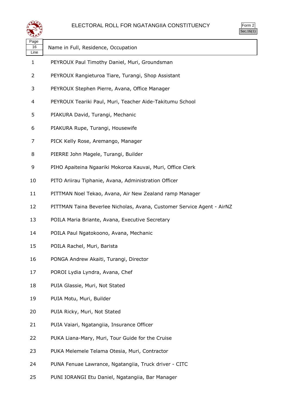

| $\mathsf{m}$ |  |
|--------------|--|
| v.           |  |

| Page<br>16<br>Line | Name in Full, Residence, Occupation                                    |
|--------------------|------------------------------------------------------------------------|
| 1                  | PEYROUX Paul Timothy Daniel, Muri, Groundsman                          |
| 2                  | PEYROUX Rangieturoa Tiare, Turangi, Shop Assistant                     |
| 3                  | PEYROUX Stephen Pierre, Avana, Office Manager                          |
| 4                  | PEYROUX Teariki Paul, Muri, Teacher Aide-Takitumu School               |
| 5                  | PIAKURA David, Turangi, Mechanic                                       |
| 6                  | PIAKURA Rupe, Turangi, Housewife                                       |
| 7                  | PICK Kelly Rose, Aremango, Manager                                     |
| 8                  | PIERRE John Magele, Turangi, Builder                                   |
| 9                  | PIHO Apaiteina Ngaariki Mokoroa Kauvai, Muri, Office Clerk             |
| 10                 | PITO Ariirau Tiphanie, Avana, Administration Officer                   |
| 11                 | PITTMAN Noel Tekao, Avana, Air New Zealand ramp Manager                |
| 12                 | PITTMAN Taina Beverlee Nicholas, Avana, Customer Service Agent - AirNZ |
| 13                 | POILA Maria Briante, Avana, Executive Secretary                        |
| 14                 | POILA Paul Ngatokoono, Avana, Mechanic                                 |
| 15                 | POILA Rachel, Muri, Barista                                            |
| 16                 | PONGA Andrew Akaiti, Turangi, Director                                 |
| 17                 | POROI Lydia Lyndra, Avana, Chef                                        |
| 18                 | PUIA Glassie, Muri, Not Stated                                         |
| 19                 | PUIA Motu, Muri, Builder                                               |
| 20                 | PUIA Ricky, Muri, Not Stated                                           |
| 21                 | PUIA Vaiari, Ngatangiia, Insurance Officer                             |
| 22                 | PUKA Liana-Mary, Muri, Tour Guide for the Cruise                       |
| 23                 | PUKA Melemele Telama Otesia, Muri, Contractor                          |
| 24                 | PUNA Fenuae Lawrance, Ngatangiia, Truck driver - CITC                  |
| 25                 | PUNI IORANGI Etu Daniel, Ngatangiia, Bar Manager                       |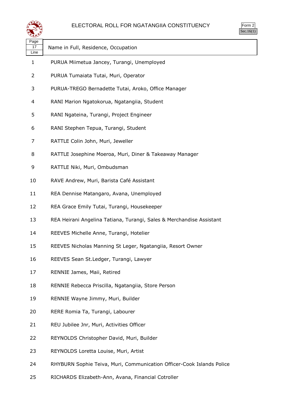

| પ∓≠У               |                                                                       |
|--------------------|-----------------------------------------------------------------------|
| Page<br>17<br>Line | Name in Full, Residence, Occupation                                   |
| 1                  | PURUA Miimetua Jancey, Turangi, Unemployed                            |
| 2                  | PURUA Tumaiata Tutai, Muri, Operator                                  |
| 3                  | PURUA-TREGO Bernadette Tutai, Aroko, Office Manager                   |
| 4                  | RANI Marion Ngatokorua, Ngatangiia, Student                           |
| 5                  | RANI Ngateina, Turangi, Project Engineer                              |
| 6                  | RANI Stephen Tepua, Turangi, Student                                  |
| 7                  | RATTLE Colin John, Muri, Jeweller                                     |
| 8                  | RATTLE Josephine Moeroa, Muri, Diner & Takeaway Manager               |
| 9                  | RATTLE Niki, Muri, Ombudsman                                          |
| 10                 | RAVE Andrew, Muri, Barista Café Assistant                             |
| 11                 | REA Dennise Matangaro, Avana, Unemployed                              |
| 12                 | REA Grace Emily Tutai, Turangi, Housekeeper                           |
| 13                 | REA Heirani Angelina Tatiana, Turangi, Sales & Merchandise Assistant  |
| 14                 | REEVES Michelle Anne, Turangi, Hotelier                               |
| 15                 | REEVES Nicholas Manning St Leger, Ngatangiia, Resort Owner            |
| 16                 | REEVES Sean St.Ledger, Turangi, Lawyer                                |
| 17                 | RENNIE James, Maii, Retired                                           |
| 18                 | RENNIE Rebecca Priscilla, Ngatangiia, Store Person                    |
| 19                 | RENNIE Wayne Jimmy, Muri, Builder                                     |
| 20                 | RERE Romia Ta, Turangi, Labourer                                      |
| 21                 | REU Jubilee Jnr, Muri, Activities Officer                             |
| 22                 | REYNOLDS Christopher David, Muri, Builder                             |
| 23                 | REYNOLDS Loretta Louise, Muri, Artist                                 |
| 24                 | RHYBURN Sophie Teiva, Muri, Communication Officer-Cook Islands Police |
|                    |                                                                       |

RICHARDS Elizabeth-Ann, Avana, Financial Cotroller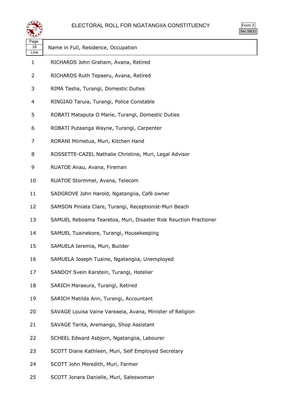

| ९≛≛४               |                                                                  |
|--------------------|------------------------------------------------------------------|
| Page<br>18<br>Line | Name in Full, Residence, Occupation                              |
| 1                  | RICHARDS John Graham, Avana, Retired                             |
| 2                  | RICHARDS Ruth Tepaeru, Avana, Retired                            |
| 3                  | RIMA Tasha, Turangi, Domestic Duties                             |
| 4                  | RINGIAO Taruia, Turangi, Police Constable                        |
| 5                  | ROBATI Mataputa O Marie, Turangi, Domestic Duties                |
| 6                  | ROBATI Putaanga Wayne, Turangi, Carpenter                        |
| 7                  | RORANI Miimetua, Muri, Kitchen Hand                              |
| 8                  | ROSSETTE-CAZEL Nathalie Christine, Muri, Legal Advisor           |
| 9                  | RUATOE Anau, Avana, Fireman                                      |
| 10                 | RUATOE Stormmel, Avana, Telecom                                  |
| 11                 | SADGROVE John Harold, Ngatangiia, Café owner                     |
| 12                 | SAMSON Piniata Clare, Turangi, Receptionist-Muri Beach           |
| 13                 | SAMUEL Reboama Tearetoa, Muri, Disaster Risk Reuction Practioner |
| 14                 | SAMUEL Tuainekore, Turangi, Housekeeping                         |
| 15                 | SAMUELA Ieremia, Muri, Builder                                   |
| 16                 | SAMUELA Joseph Tuaine, Ngatangiia, Unemployed                    |
| 17                 | SANDOY Svein Karstein, Turangi, Hotelier                         |
| 18                 | SARICH Maraeura, Turangi, Retired                                |
| 19                 | SARICH Matilda Ann, Turangi, Accountant                          |
| 20                 | SAVAGE Louisa Vaine Vareaeia, Avana, Minister of Religion        |
| 21                 | SAVAGE Tarita, Aremango, Shop Assistant                          |
| 22                 | SCHEEL Edward Asbjorn, Ngatangiia, Labourer                      |
| 23                 | SCOTT Diane Kathleen, Muri, Self Employed Secretary              |
| 24                 | SCOTT John Meredith, Muri, Farmer                                |

SCOTT Jonara Danielle, Muri, Saleswoman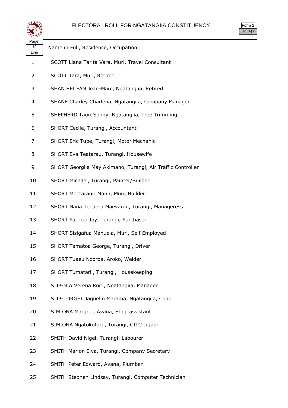

| حصو                |                                                             |
|--------------------|-------------------------------------------------------------|
| Page<br>19<br>Line | Name in Full, Residence, Occupation                         |
| 1                  | SCOTT Liana Tarita Vara, Muri, Travel Consultant            |
| 2                  | SCOTT Tara, Muri, Retired                                   |
| 3                  | SHAN SEI FAN Jean-Marc, Ngatangiia, Retired                 |
| 4                  | SHANE Charley Charlena, Ngatangiia, Company Manager         |
| 5                  | SHEPHERD Tauri Sonny, Ngatangiia, Tree Trimming             |
| 6                  | SHORT Cecile, Turangi, Accountant                           |
| 7                  | SHORT Eric Tupe, Turangi, Motor Mechanic                    |
| 8                  | SHORT Eva Teatarau, Turangi, Housewife                      |
| 9                  | SHORT Georgiia May Akimano, Turangi, Air Traffic Controller |
| 10                 | SHORT Michael, Turangi, Painter/Builder                     |
| 11                 | SHORT Moetarauri Mann, Muri, Builder                        |
| 12                 | SHORT Nana Tepaeru Maevarau, Turangi, Manageress            |
| 13                 | SHORT Patricia Joy, Turangi, Purchaser                      |
| 14                 | SHORT Sisigafua Manuela, Muri, Self Employed                |
| 15                 | SHORT Tamatoa George, Turangi, Driver                       |
| 16                 | SHORT Tuaeu Nooroa, Aroko, Welder                           |
| 17                 | SHORT Tumatarii, Turangi, Housekeeping                      |
| 18                 | SIJP-NIA Verena Roiti, Ngatangiia, Manager                  |
| 19                 | SIJP-TORGET Jaquelin Marama, Ngatangiia, Cook               |
| 20                 | SIMIONA Margret, Avana, Shop assistant                      |
| 21                 | SIMIONA Ngatokotoru, Turangi, CITC Liquor                   |
| 22                 | SMITH David Nigel, Turangi, Labourer                        |
| 23                 | SMITH Marion Elva, Turangi, Company Secretary               |
| 24                 | SMITH Peter Edward, Avana, Plumber                          |

SMITH Stephen Lindsay, Turangi, Computer Technician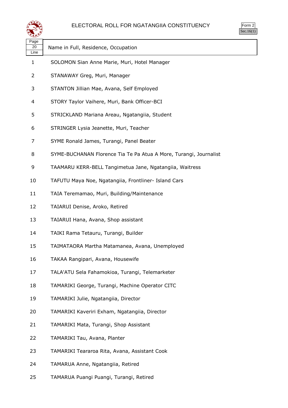



| لتتعقينا           |                                                                   |  |
|--------------------|-------------------------------------------------------------------|--|
| Page<br>20<br>Line | Name in Full, Residence, Occupation                               |  |
| $\mathbf{1}$       | SOLOMON Sian Anne Marie, Muri, Hotel Manager                      |  |
| 2                  | STANAWAY Greg, Muri, Manager                                      |  |
| 3                  | STANTON Jillian Mae, Avana, Self Employed                         |  |
| 4                  | STORY Taylor Vaihere, Muri, Bank Officer-BCI                      |  |
| 5                  | STRICKLAND Mariana Areau, Ngatangiia, Student                     |  |
| 6                  | STRINGER Lysia Jeanette, Muri, Teacher                            |  |
| 7                  | SYME Ronald James, Turangi, Panel Beater                          |  |
| 8                  | SYME-BUCHANAN Florence Tia Te Pa Atua A More, Turangi, Journalist |  |
| 9                  | TAAMARU KERR-BELL Tangimetua Jane, Ngatangiia, Waitress           |  |
| 10                 | TAFUTU Maya Noe, Ngatangiia, Frontliner- Island Cars              |  |
| 11                 | TAIA Teremamao, Muri, Building/Maintenance                        |  |
| 12                 | TAIARUI Denise, Aroko, Retired                                    |  |
| 13                 | TAIARUI Hana, Avana, Shop assistant                               |  |
| 14                 | TAIKI Rama Tetauru, Turangi, Builder                              |  |
| 15                 | TAIMATAORA Martha Matamanea, Avana, Unemployed                    |  |
| 16                 | TAKAA Rangipari, Avana, Housewife                                 |  |
| 17                 | TALA'ATU Sela Fahamokioa, Turangi, Telemarketer                   |  |
| 18                 | TAMARIKI George, Turangi, Machine Operator CITC                   |  |
| 19                 | TAMARIKI Julie, Ngatangiia, Director                              |  |
| 20                 | TAMARIKI Kaveriri Exham, Ngatangiia, Director                     |  |
| 21                 | TAMARIKI Mata, Turangi, Shop Assistant                            |  |
| 22                 | TAMARIKI Tau, Avana, Planter                                      |  |
| 23                 | TAMARIKI Teararoa Rita, Avana, Assistant Cook                     |  |
| 24                 | TAMARUA Anne, Ngatangiia, Retired                                 |  |
| 25                 | TAMARUA Puangi Puangi, Turangi, Retired                           |  |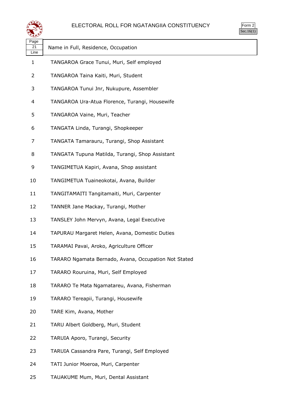

| $\mathsf{m}$ |  |
|--------------|--|
| v.           |  |

| ≍ອອ                |                                                      |
|--------------------|------------------------------------------------------|
| Page<br>21<br>Line | Name in Full, Residence, Occupation                  |
| $\mathbf{1}$       | TANGAROA Grace Tunui, Muri, Self employed            |
| 2                  | TANGAROA Taina Kaiti, Muri, Student                  |
| 3                  | TANGAROA Tunui Jnr, Nukupure, Assembler              |
| 4                  | TANGAROA Ura-Atua Florence, Turangi, Housewife       |
| 5                  | TANGAROA Vaine, Muri, Teacher                        |
| 6                  | TANGATA Linda, Turangi, Shopkeeper                   |
| 7                  | TANGATA Tamarauru, Turangi, Shop Assistant           |
| 8                  | TANGATA Tupuna Matilda, Turangi, Shop Assistant      |
| 9                  | TANGIMETUA Kapiri, Avana, Shop assistant             |
| 10                 | TANGIMETUA Tuaineokotai, Avana, Builder              |
| 11                 | TANGITAMAITI Tangitamaiti, Muri, Carpenter           |
| 12                 | TANNER Jane Mackay, Turangi, Mother                  |
| 13                 | TANSLEY John Mervyn, Avana, Legal Executive          |
| 14                 | TAPURAU Margaret Helen, Avana, Domestic Duties       |
| 15                 | TARAMAI Pavai, Aroko, Agriculture Officer            |
| 16                 | TARARO Ngamata Bernado, Avana, Occupation Not Stated |
| 17                 | TARARO Rouruina, Muri, Self Employed                 |
| 18                 | TARARO Te Mata Ngamatareu, Avana, Fisherman          |
| 19                 | TARARO Tereapii, Turangi, Housewife                  |
| 20                 | TARE Kim, Avana, Mother                              |
| 21                 | TARU Albert Goldberg, Muri, Student                  |
| 22                 | TARUIA Aporo, Turangi, Security                      |
| 23                 | TARUIA Cassandra Pare, Turangi, Self Employed        |
| 24                 | TATI Junior Moeroa, Muri, Carpenter                  |

TAUAKUME Mum, Muri, Dental Assistant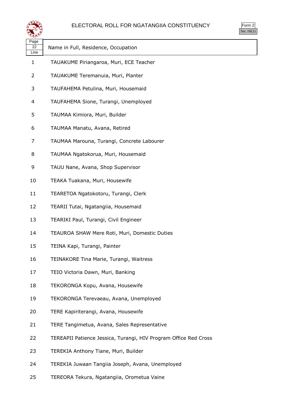

| $\sim$<br>ነrm<br>٠ |  |
|--------------------|--|
|                    |  |

| Page<br>22<br>Line | Name in Full, Residence, Occupation                              |
|--------------------|------------------------------------------------------------------|
| $\mathbf{1}$       | TAUAKUME Piriangaroa, Muri, ECE Teacher                          |
| $\overline{2}$     | TAUAKUME Teremanuia, Muri, Planter                               |
| 3                  | TAUFAHEMA Petulina, Muri, Housemaid                              |
| 4                  | TAUFAHEMA Sione, Turangi, Unemployed                             |
| 5                  | TAUMAA Kimiora, Muri, Builder                                    |
| 6                  | TAUMAA Manatu, Avana, Retired                                    |
| 7                  | TAUMAA Marouna, Turangi, Concrete Labourer                       |
| 8                  | TAUMAA Ngatokorua, Muri, Housemaid                               |
| 9                  | TAUU Nane, Avana, Shop Supervisor                                |
| 10                 | TEAKA Tuakana, Muri, Housewife                                   |
| 11                 | TEARETOA Ngatokotoru, Turangi, Clerk                             |
| 12                 | TEARII Tutai, Ngatangiia, Housemaid                              |
| 13                 | TEARIKI Paul, Turangi, Civil Engineer                            |
| 14                 | TEAUROA SHAW Mere Roti, Muri, Domestic Duties                    |
| 15                 | TEINA Kapi, Turangi, Painter                                     |
| 16                 | TEINAKORE Tina Marie, Turangi, Waitress                          |
| 17                 | TEIO Victoria Dawn, Muri, Banking                                |
| 18                 | TEKORONGA Kopu, Avana, Housewife                                 |
| 19                 | TEKORONGA Terevaeau, Avana, Unemployed                           |
| 20                 | TERE Kapiriterangi, Avana, Housewife                             |
| 21                 | TERE Tangimetua, Avana, Sales Representative                     |
| 22                 | TEREAPII Patience Jessica, Turangi, HIV Program Office Red Cross |
| 23                 | TEREKIA Anthony Tiane, Muri, Builder                             |
| 24                 | TEREKIA Juwaan Tangiia Joseph, Avana, Unemployed                 |

TEREORA Tekura, Ngatangiia, Orometua Vaine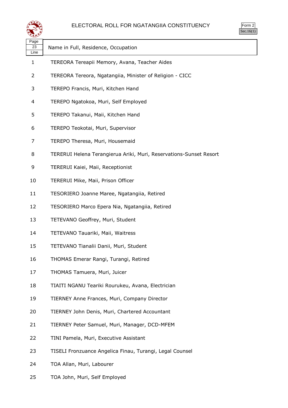



| لتستعيث            |                                                                    |
|--------------------|--------------------------------------------------------------------|
| Page<br>23<br>Line | Name in Full, Residence, Occupation                                |
| 1                  | TEREORA Tereapii Memory, Avana, Teacher Aides                      |
| 2                  | TEREORA Tereora, Ngatangiia, Minister of Religion - CICC           |
| 3                  | TEREPO Francis, Muri, Kitchen Hand                                 |
| 4                  | TEREPO Ngatokoa, Muri, Self Employed                               |
| 5                  | TEREPO Takanui, Maii, Kitchen Hand                                 |
| 6                  | TEREPO Teokotai, Muri, Supervisor                                  |
| 7                  | TEREPO Theresa, Muri, Housemaid                                    |
| 8                  | TERERUI Helena Terangierua Ariki, Muri, Reservations-Sunset Resort |
| 9                  | TERERUI Kaiei, Maii, Receptionist                                  |
| 10                 | TERERUI Mike, Maii, Prison Officer                                 |
| 11                 | TESORIERO Joanne Maree, Ngatangiia, Retired                        |
| 12                 | TESORIERO Marco Epera Nia, Ngatangiia, Retired                     |
| 13                 | TETEVANO Geoffrey, Muri, Student                                   |
| 14                 | TETEVANO Tauariki, Maii, Waitress                                  |
| 15                 | TETEVANO Tianalii Danii, Muri, Student                             |
| 16                 | THOMAS Emerar Rangi, Turangi, Retired                              |
| 17                 | THOMAS Tamuera, Muri, Juicer                                       |
| 18                 | TIAITI NGANU Teariki Rourukeu, Avana, Electrician                  |
| 19                 | TIERNEY Anne Frances, Muri, Company Director                       |
| 20                 | TIERNEY John Denis, Muri, Chartered Accountant                     |
| 21                 | TIERNEY Peter Samuel, Muri, Manager, DCD-MFEM                      |
| 22                 | TINI Pamela, Muri, Executive Assistant                             |
| 23                 | TISELI Fronzuance Angelica Finau, Turangi, Legal Counsel           |
| 24                 | TOA Allan, Muri, Labourer                                          |
| 25                 | TOA John, Muri, Self Employed                                      |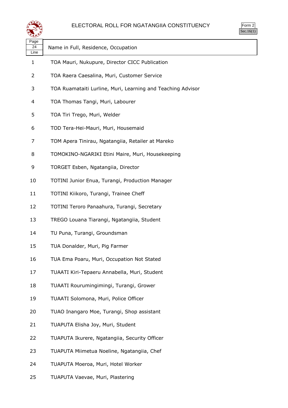

| orm<br>╭ |
|----------|
| ` 1      |

| પ∓≭У               |                                                             |
|--------------------|-------------------------------------------------------------|
| Page<br>24<br>Line | Name in Full, Residence, Occupation                         |
| 1                  | TOA Mauri, Nukupure, Director CICC Publication              |
| 2                  | TOA Raera Caesalina, Muri, Customer Service                 |
| 3                  | TOA Ruamataiti Lurline, Muri, Learning and Teaching Advisor |
| 4                  | TOA Thomas Tangi, Muri, Labourer                            |
| 5                  | TOA Tiri Trego, Muri, Welder                                |
| 6                  | TOD Tera-Hei-Mauri, Muri, Housemaid                         |
| 7                  | TOM Apera Tinirau, Ngatangiia, Retailer at Mareko           |
| 8                  | TOMOKINO-NGARIKI Etini Maire, Muri, Housekeeping            |
| 9                  | TORGET Esben, Ngatangiia, Director                          |
| 10                 | TOTINI Junior Enua, Turangi, Production Manager             |
| 11                 | TOTINI Kiikoro, Turangi, Trainee Cheff                      |
| 12                 | TOTINI Teroro Panaahura, Turangi, Secretary                 |
| 13                 | TREGO Louana Tiarangi, Ngatangiia, Student                  |
| 14                 | TU Puna, Turangi, Groundsman                                |
| 15                 | TUA Donalder, Muri, Pig Farmer                              |
| 16                 | TUA Ema Poaru, Muri, Occupation Not Stated                  |
| 17                 | TUAATI Kiri-Tepaeru Annabella, Muri, Student                |
| 18                 | TUAATI Rourumingimingi, Turangi, Grower                     |
| 19                 | TUAATI Solomona, Muri, Police Officer                       |
| 20                 | TUAO Inangaro Moe, Turangi, Shop assistant                  |
| 21                 | TUAPUTA Elisha Joy, Muri, Student                           |
| 22                 | TUAPUTA Ikurere, Ngatangiia, Security Officer               |
| 23                 | TUAPUTA Miimetua Noeline, Ngatangiia, Chef                  |
| 24                 | TUAPUTA Moeroa, Muri, Hotel Worker                          |
| 25                 | TUAPUTA Vaevae, Muri, Plastering                            |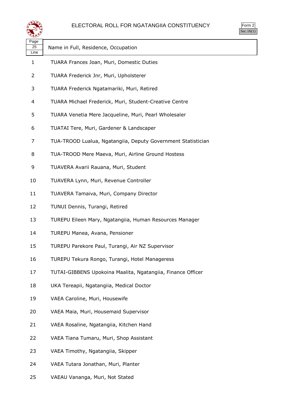



| પ∓≠У               |                                                              |  |
|--------------------|--------------------------------------------------------------|--|
| Page<br>25<br>Line | Name in Full, Residence, Occupation                          |  |
| $\mathbf{1}$       | TUARA Frances Joan, Muri, Domestic Duties                    |  |
| 2                  | TUARA Frederick Jnr, Muri, Upholsterer                       |  |
| 3                  | TUARA Frederick Ngatamariki, Muri, Retired                   |  |
| 4                  | TUARA Michael Frederick, Muri, Student-Creative Centre       |  |
| 5                  | TUARA Venetia Mere Jacqueline, Muri, Pearl Wholesaler        |  |
| 6                  | TUATAI Tere, Muri, Gardener & Landscaper                     |  |
| 7                  | TUA-TROOD Lualua, Ngatangiia, Deputy Government Statistician |  |
| 8                  | TUA-TROOD Mere Maeva, Muri, Airline Ground Hostess           |  |
| 9                  | TUAVERA Avarii Rauana, Muri, Student                         |  |
| 10                 | TUAVERA Lynn, Muri, Revenue Controller                       |  |
| 11                 | TUAVERA Tamaiva, Muri, Company Director                      |  |
| 12                 | TUNUI Dennis, Turangi, Retired                               |  |
| 13                 | TUREPU Eileen Mary, Ngatangiia, Human Resources Manager      |  |
| 14                 | TUREPU Manea, Avana, Pensioner                               |  |
| 15                 | TUREPU Parekore Paul, Turangi, Air NZ Supervisor             |  |
| 16                 | TUREPU Tekura Rongo, Turangi, Hotel Manageress               |  |
| 17                 | TUTAI-GIBBENS Upokoina Maalita, Ngatangiia, Finance Officer  |  |
| 18                 | UKA Tereapii, Ngatangiia, Medical Doctor                     |  |
| 19                 | VAEA Caroline, Muri, Housewife                               |  |
| 20                 | VAEA Maia, Muri, Housemaid Supervisor                        |  |
| 21                 | VAEA Rosaline, Ngatangiia, Kitchen Hand                      |  |
| 22                 | VAEA Tiana Tumaru, Muri, Shop Assistant                      |  |
| 23                 | VAEA Timothy, Ngatangiia, Skipper                            |  |
| 24                 | VAEA Tutara Jonathan, Muri, Planter                          |  |
|                    |                                                              |  |

VAEAU Vananga, Muri, Not Stated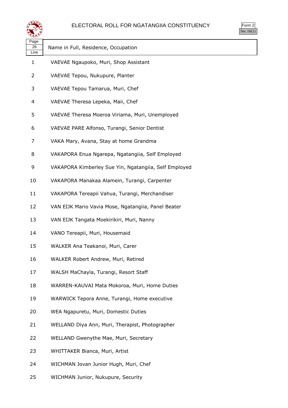

| $\overline{3}$ rm<br>╯ |  |
|------------------------|--|
| . I                    |  |

| Page<br>26<br>Line | Name in Full, Residence, Occupation                   |
|--------------------|-------------------------------------------------------|
| 1                  | VAEVAE Ngaupoko, Muri, Shop Assistant                 |
| 2                  | VAEVAE Tepou, Nukupure, Planter                       |
| 3                  | VAEVAE Tepou Tamarua, Muri, Chef                      |
| 4                  | VAEVAE Theresa Lepeka, Maii, Chef                     |
| 5                  | VAEVAE Theresa Moeroa Viriama, Muri, Unemployed       |
| 6                  | VAEVAE PARE Alfonso, Turangi, Senior Dentist          |
| 7                  | VAKA Mary, Avana, Stay at home Grandma                |
| 8                  | VAKAPORA Enua Ngarepa, Ngatangiia, Self Employed      |
| 9                  | VAKAPORA Kimberley Sue Yin, Ngatangiia, Self Employed |
| 10                 | VAKAPORA Manakaa Alamein, Turangi, Carpenter          |
| 11                 | VAKAPORA Tereapii Vahua, Turangi, Merchandiser        |
| 12                 | VAN EIJK Mario Vavia Mose, Ngatangiia, Panel Beater   |
| 13                 | VAN EIJK Tangata Moekirikiri, Muri, Nanny             |
| 14                 | VANO Tereapii, Muri, Housemaid                        |
| 15                 | WALKER Ana Teakanoi, Muri, Carer                      |
| 16                 | WALKER Robert Andrew, Muri, Retired                   |
| 17                 | WALSH MaChayla, Turangi, Resort Staff                 |
| 18                 | WARREN-KAUVAI Mata Mokoroa, Muri, Home Duties         |
| 19                 | WARWICK Tepora Anne, Turangi, Home executive          |
| 20                 | WEA Ngapuretu, Muri, Domestic Duties                  |
| 21                 | WELLAND Diya Ann, Muri, Therapist, Photographer       |
| 22                 | WELLAND Gwenythe Mae, Muri, Secretary                 |
| 23                 | WHITTAKER Bianca, Muri, Artist                        |
| 24                 | WICHMAN Jovan Junior Hugh, Muri, Chef                 |
|                    |                                                       |

WICHMAN Junior, Nukupure, Security